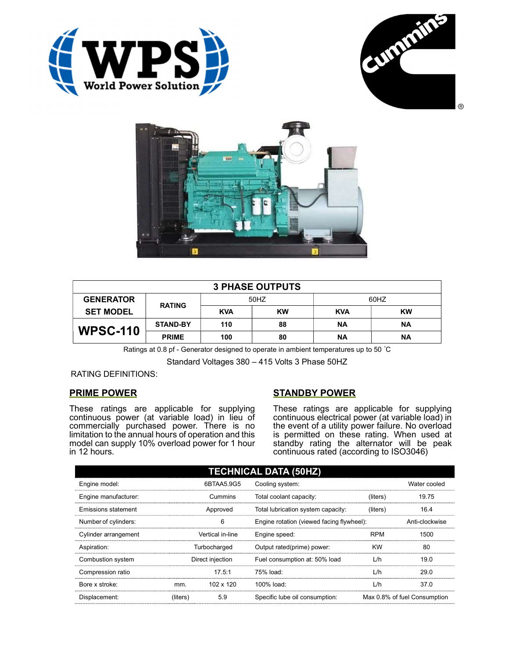





| <b>3 PHASE OUTPUTS</b> |                 |            |    |            |           |  |
|------------------------|-----------------|------------|----|------------|-----------|--|
| <b>GENERATOR</b>       | <b>RATING</b>   | 50HZ       |    | 60HZ       |           |  |
| <b>SET MODEL</b>       |                 | <b>KVA</b> | KW | <b>KVA</b> | <b>KW</b> |  |
| <b>WPSC-110</b>        | <b>STAND-BY</b> | 110        | 88 | <b>NA</b>  | <b>NA</b> |  |
|                        | <b>PRIME</b>    | 100        | 80 | ΝA         | ΝA        |  |

Ratings at 0.8 pf - Generator designed to operate in ambient temperatures up to 50 °C

Standard Voltages 380 – 415 Volts 3 Phase 50HZ

# RATING DEFINITIONS:

# PRIME POWER

These ratings are applicable for supplying continuous power (at variable load) in lieu of commercially purchased power. There is no limitation to the annual hours of operation and this model can supply 10% overload power for 1 hour in 12 hours.

# STANDBY POWER

These ratings are applicable for supplying continuous electrical power (at variable load) in the event of a utility power failure. No overload is permitted on these rating. When used at standby rating the alternator will be peak continuous rated (according to ISO3046)

| <b>TECHNICAL DATA (50HZ)</b> |                  |            |                                           |            |                              |  |
|------------------------------|------------------|------------|-------------------------------------------|------------|------------------------------|--|
| Engine model:                |                  | 6BTAA5.9G5 | Cooling system:                           |            | Water cooled                 |  |
| Engine manufacturer:         | Cummins          |            | Total coolant capacity:                   | (liters)   | 19.75                        |  |
| Emissions statement          | Approved         |            | Total lubrication system capacity:        | (liters)   | 16.4                         |  |
| Number of cylinders:         |                  | 6          | Engine rotation (viewed facing flywheel): |            | Anti-clockwise               |  |
| Cylinder arrangement         | Vertical in-line |            | Engine speed:                             | <b>RPM</b> | 1500                         |  |
| Aspiration:                  | Turbocharged     |            | Output rated(prime) power:                | <b>KW</b>  | 80                           |  |
| Combustion system            | Direct injection |            | Fuel consumption at: 50% load             | L/h        | 19.0                         |  |
| Compression ratio            |                  | 17.5:1     | 75% load:                                 | L/h        | 29.0                         |  |
| Bore x stroke:               | mm.              | 102 x 120  | 100% load:                                | L/h        | 37.0                         |  |
| Displacement:                | (liters)         | 5.9        | Specific lube oil consumption:            |            | Max 0.8% of fuel Consumption |  |